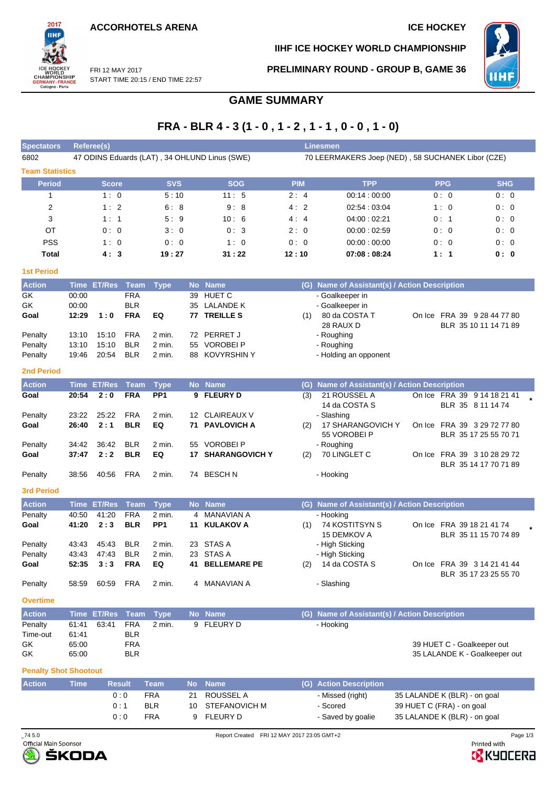**ACCORHOTELS ARENA ICE HOCKEY** 



**IIHF ICE HOCKEY WORLD CHAMPIONSHIP**



FRI 12 MAY 2017 START TIME 20:15 / END TIME 22:57 **PRELIMINARY ROUND - GROUP B, GAME 36**

# **GAME SUMMARY**

# **FRA - BLR 4 - 3 (1 - 0 , 1 - 2 , 1 - 1 , 0 - 0 , 1 - 0)**

| <b>Spectators</b>      |             | <b>Referee(s)</b> |             |                 |                 |                                               |            |     | <b>Linesmen</b>                                   |            |                                                      |  |
|------------------------|-------------|-------------------|-------------|-----------------|-----------------|-----------------------------------------------|------------|-----|---------------------------------------------------|------------|------------------------------------------------------|--|
| 6802                   |             |                   |             |                 |                 | 47 ODINS Eduards (LAT), 34 OHLUND Linus (SWE) |            |     | 70 LEERMAKERS Joep (NED), 58 SUCHANEK Libor (CZE) |            |                                                      |  |
| <b>Team Statistics</b> |             |                   |             |                 |                 |                                               |            |     |                                                   |            |                                                      |  |
| <b>Period</b>          |             | <b>Score</b>      |             | <b>SVS</b>      |                 | <b>SOG</b>                                    | <b>PIM</b> |     | <b>TPP</b>                                        | <b>PPG</b> | <b>SHG</b>                                           |  |
| 1                      |             | 1:0               |             | 5:10            |                 | 11:5                                          | 2:4        |     | 00:14:00:00                                       | 0:0        | 0:0                                                  |  |
| 2                      |             | 1:2               |             | 6:8             |                 | 9:8                                           | 4:2        |     | 02:54:03:04                                       | 1:0        | 0:0                                                  |  |
| 3                      |             | 1:1               |             | 5:9             |                 | 10:6                                          | 4:4        |     | 04:00:02:21                                       | 0:1        | 0:0                                                  |  |
| OT                     |             | 0:0               |             | 3:0             |                 | 0:3                                           | 2:0        |     | 00:00:02:59                                       | 0:0        | 0:0                                                  |  |
| <b>PSS</b>             |             | 1:0               |             | 0:0             |                 | 1:0                                           | 0:0        |     | 00:00:00:00                                       | 0:0        | 0:0                                                  |  |
| <b>Total</b>           |             | 4:3               |             | 19:27           |                 | 31:22                                         | 12:10      |     | 07:08:08:24                                       | 1:1        | 0:0                                                  |  |
| <b>1st Period</b>      |             |                   |             |                 |                 |                                               |            |     |                                                   |            |                                                      |  |
| <b>Action</b>          | <b>Time</b> | <b>ET/Res</b>     | <b>Team</b> | <b>Type</b>     | <b>No</b>       | <b>Name</b>                                   |            | (G) | Name of Assistant(s) / Action Description         |            |                                                      |  |
| GK                     | 00:00       |                   | <b>FRA</b>  |                 | 39              | <b>HUET C</b>                                 |            |     | - Goalkeeper in                                   |            |                                                      |  |
| GK                     | 00:00       |                   | <b>BLR</b>  |                 | 35              | <b>LALANDE K</b>                              |            |     | - Goalkeeper in                                   |            |                                                      |  |
| Goal                   | 12:29       | 1:0               | <b>FRA</b>  | EQ              | 77              | <b>TREILLE S</b>                              |            | (1) | 80 da COSTA T<br>28 RAUX D                        |            | On Ice FRA 39 9 28 44 77 80<br>BLR 35 10 11 14 71 89 |  |
| Penalty                | 13:10       | 15:10             | <b>FRA</b>  | 2 min.          | 72              | PERRET J                                      |            |     | - Roughing                                        |            |                                                      |  |
| Penalty                | 13:10       | 15:10             | <b>BLR</b>  | $2$ min.        | 55              | <b>VOROBEI P</b>                              |            |     | - Roughing                                        |            |                                                      |  |
| Penalty                | 19:46       | 20:54             | <b>BLR</b>  | $2$ min.        | 88              | <b>KOVYRSHIN Y</b>                            |            |     | - Holding an opponent                             |            |                                                      |  |
| <b>2nd Period</b>      |             |                   |             |                 |                 |                                               |            |     |                                                   |            |                                                      |  |
| <b>Action</b>          | <b>Time</b> | <b>ET/Res</b>     | <b>Team</b> | <b>Type</b>     | <b>No</b>       | <b>Name</b>                                   |            | (G) | Name of Assistant(s) / Action Description         |            |                                                      |  |
| Goal                   | 20:54       | 2:0               | <b>FRA</b>  | PP <sub>1</sub> |                 | 9 FLEURY D                                    |            | (3) | 21 ROUSSEL A                                      |            | On Ice FRA 39 9 14 18 21 41                          |  |
|                        |             |                   |             |                 |                 |                                               |            |     | 14 da COSTA S                                     |            | BLR 35 8 11 14 74                                    |  |
| Penalty                | 23:22       | 25:22             | <b>FRA</b>  | $2$ min.        | 12 <sup>2</sup> | <b>CLAIREAUX V</b>                            |            |     | - Slashing                                        |            |                                                      |  |
| Goal                   | 26:40       | 2:1               | <b>BLR</b>  | EQ              | 71              | <b>PAVLOVICH A</b>                            |            | (2) | 17 SHARANGOVICH Y                                 |            | On Ice FRA 39 3 29 72 77 80                          |  |
|                        |             |                   |             |                 |                 |                                               |            |     | 55 VOROBEI P                                      |            | BLR 35 17 25 55 70 71                                |  |
| Penalty                | 34:42       | 36:42             | <b>BLR</b>  | $2$ min.        | 55              | <b>VOROBEIP</b>                               |            |     | - Roughing                                        |            |                                                      |  |
| Goal                   | 37:47       | 2:2               | <b>BLR</b>  | EQ              | 17              | <b>SHARANGOVICH Y</b>                         |            | (2) | 70 LINGLET C                                      |            | On Ice FRA 39 3 10 28 29 72                          |  |
|                        |             |                   |             |                 |                 |                                               |            |     |                                                   |            | BLR 35 14 17 70 71 89                                |  |

Penalty 38:56 40:56 FRA 2 min. 74 BESCH N - Hooking

### **3rd Period**

| <b>Action</b> |       | Time ET/Res Team Type |            |                 | No Name         |     | (G) Name of Assistant(s) / Action Description |                             |  |
|---------------|-------|-----------------------|------------|-----------------|-----------------|-----|-----------------------------------------------|-----------------------------|--|
| Penalty       | 40.50 | 41:20                 | <b>FRA</b> | 2 min.          | 4 MANAVIAN A    |     | - Hooking                                     |                             |  |
| Goal          | 41:20 | 2:3                   | <b>BLR</b> | PP <sub>1</sub> | 11 KULAKOV A    | (1) | 74 KOSTITSYN S                                | On Ice FRA 39 18 21 41 74   |  |
|               |       |                       |            |                 |                 |     | 15 DEMKOV A                                   | BLR 35 11 15 70 74 89       |  |
| Penalty       | 43:43 | 45:43                 | <b>BLR</b> | 2 min.          | 23 STAS A       |     | - High Sticking                               |                             |  |
| Penalty       | 43:43 | 47:43                 | <b>BLR</b> | 2 min.          | 23 STAS A       |     | - High Sticking                               |                             |  |
| Goal          |       | $52:35$ $3:3$         | <b>FRA</b> | EQ              | 41 BELLEMARE PE | (2) | 14 da COSTA S                                 | On Ice FRA 39 3 14 21 41 44 |  |
|               |       |                       |            |                 |                 |     |                                               | BLR 35 17 23 25 55 70       |  |
| Penalty       | 58:59 | 60:59                 | FRA        | 2 min.          | 4 MANAVIAN A    |     | - Slashing                                    |                             |  |

### **Overtime**

| <b>Action</b> | Time ET/Res Team Type |     |        | No Name    | (G) Name of Assistant(s) / Action Description |
|---------------|-----------------------|-----|--------|------------|-----------------------------------------------|
| Penalty       | 61:41 63:41           | FRA | 2 min. | 9 FLEURY D | - Hooking                                     |
| Time-out      | 61:41                 | BLR |        |            |                                               |
| GK.           | 65:00                 | FRA |        |            | 39 HUET C - Goalkeeper out                    |
| GK            | 65:00                 | BLR |        |            | 35 LALANDE K - Goalkeeper out                 |

### **Penalty Shot Shootout**

| <b>Action</b> | Time' | <b>Result</b> | Team       |    | No Name          | (G) Action Description |                              |
|---------------|-------|---------------|------------|----|------------------|------------------------|------------------------------|
|               |       | 0:0           | <b>FRA</b> | 21 | ROUSSEL A        | - Missed (right)       | 35 LALANDE K (BLR) - on goal |
|               |       | 0 : 1         | <b>BLR</b> |    | 10 STEFANOVICH M | - Scored               | 39 HUET C (FRA) - on goal    |
|               |       | 0:0           | <b>FRA</b> | a  | FLEURY D         | - Saved by goalie      | 35 LALANDE K (BLR) - on goal |



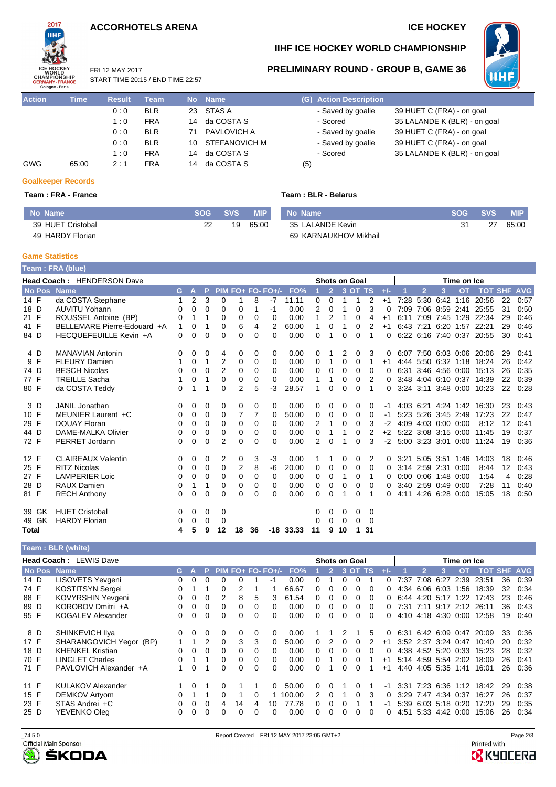## **ACCORHOTELS ARENA ICE HOCKEY**

FRI 12 MAY 2017



## **IIHF ICE HOCKEY WORLD CHAMPIONSHIP**

**PRELIMINARY ROUND - GROUP B, GAME 36**



**Action Time Result Team No Name (G) Action Description** START TIME 20:15 / END TIME 22:57

| .          | .     |     | .          |    |                  |                   |                              |
|------------|-------|-----|------------|----|------------------|-------------------|------------------------------|
|            |       | 0:0 | <b>BLR</b> |    | 23 STAS A        | - Saved by goalie | 39 HUET C (FRA) - on goal    |
|            |       | 1:0 | <b>FRA</b> |    | 14 da COSTA S    | - Scored          | 35 LALANDE K (BLR) - on goal |
|            |       | 0:0 | <b>BLR</b> | 71 | PAVLOVICH A      | - Saved by goalie | 39 HUET C (FRA) - on goal    |
|            |       | 0:0 | <b>BLR</b> |    | 10 STEFANOVICH M | - Saved by goalie | 39 HUET C (FRA) - on goal    |
|            |       | 1:0 | <b>FRA</b> |    | 14 da COSTA S    | - Scored          | 35 LALANDE K (BLR) - on goal |
| <b>GWG</b> | 65:00 | 2:1 | <b>FRA</b> |    | 14 da COSTA S    | (5)               |                              |
|            |       |     |            |    |                  |                   |                              |

### **Team : FRA - France Team : BLR - Belarus**

| 39 HUET C (FRA) - on goal    |
|------------------------------|
| 35 LALANDE K (BLR) - on goal |
| 39 HUET C (FRA) - on goal    |
| 39 HUET C (FRA) - on goal    |
| 35 LALANDE K (BLR) - on goal |
|                              |

## **Goalkeeper Records**

| No Name           | <b>SOG</b> | <b>SVS</b> | <b>MIP</b> |
|-------------------|------------|------------|------------|
| 39 HUET Cristobal | 22         | 19         | 65:00      |
| 49 HARDY Florian  |            |            |            |

| чо маше               |
|-----------------------|
| 35 LALANDE Kevin      |
| 69 KARNAUKHOV Mikhail |

| No Name          | SOG SVS | <b>MIP</b> |
|------------------|---------|------------|
| 35 LALANDE Kevin | 27      | 65:00      |

#### **Game Statistics**

**Team : FRA (blue) Head Coach :** HENDERSON Dave **Shots on Goal Shots on Goal Time on Ice** No Pos Name GAPPIM FO+ FO-FO+/- FO% 1 2 3 OT TS +/- 1 2 3 OT TOT SHF AVG 14 F da COSTA Stephane 1 2 3 0 1 8 -7 11.11 0 0 1 1 2 +1 7:28 5:30 6:42 1:16 20:56 22 0:57 18 D AUVITU Yohann 0 0 0 0 0 1 -1 0.00 2 0 1 0 3 0 7:09 7:06 8:59 2:41 25:55 31 0:50 21 F ROUSSEL Antoine (BP) 0 1 1 0 0 0 0 0 0 0 1 2 1 0 4 +1 6:11 7:09 7:45 1:29 22:34 29 0:46<br>21 E BELLEMARE Pierre-Edouard +A 1 0 1 0 6 4 2 60.00 1 0 1 0 2 +1 6:43 7:21 6:20 1:57 22:21 29 0:46 41 F BELLEMARE Pierre-Edouard +A 1 0 1 0 6 4 2 60.00 1 0 1 0 2 +1 6:43 7:21 6:20 1:57 22:21 29 0:46 84 D HECQUEFEUILLE Kevin +A 0 0 0 0 0 0 0 0.00 0 1 0 0 1 0 6:22 6:16 7:40 0:37 20:55 30 0:41 4 D MANAVIAN Antonin 0 0 0 4 0 0 0 0.00 0 1 2 0 3 0 6:07 7:50 6:03 0:06 20:06 29 0:41 1 0 1 2 0 0 0 0.00 0 1 0 0 1 +1 4:44 5:50 6:32 1:18 74 D BESCH Nicolas 0 0 0 2 0 0 0 0.00 0 0 0 0 0 0 6:31 3:46 4:56 0:00 15:13 26 0:35 77 F TREILLE Sacha 1 0 1 0 0 0 0 0.00 1 1 0 0 2 0 3:48 4:04 6:10 0:37 14:39 22 0:39 da COSTA Teddy **0 1 1 0 2 5 -3 28.57 1 0 0 0 1 0 3:24 3:11 3:48 0:00 10:23 22 0:28** 3 D JANIL Jonathan 0 0 0 0 0 0 0 0.00 0 0 0 0 0 -1 4:03 6:21 4:24 1:42 16:30 23 0:43 10 5:23 5:26 3:45 2:49 17:23 29 F DOUAY Floran 0 0 0 0 0 0 0 0.00 2 1 0 0 3 -2 4:09 4:03 0:00 0:00 8:12 12 0:41 44 D DAME-MALKA Olivier 0 0 0 0 0 0 0 0.00 0 1 1 0 2 +2 5:22 3:08 3:15 0:00 11:45 19 0:37 72 F PERRET Jordann 0 0 0 2 0 0 0 0.00 2 0 1 0 3 -2 5:00 3:23 3:01 0:00 11:24 19 0:36 12 F CLAIREAUX Valentin 0 0 0 0 2 0 3 -3 0.00 1 1 0 0 2 0 3:21 5:05 3:51 1:46 14:03 18 0:46<br>25 F RITZ Nicolas 0 0 0 0 0 2 8 -6 20.00 0 0 0 0 0 0 3:14 2:59 2:31 0:00 8:44 12 0:43 25 F RITZ Nicolas 0 0 0 0 2 8 -6 20.00 0 0 0 0 0 0 3:14 2:59 2:31 0:00 8:44 12 0:43 27 F LAMPERIER Loic 0 0 0 0 0 0 0 0.00 0 0 1 0 1 0 0:00 0:06 1:48 0:00 1:54 4 0:28 28 D RAUX Damien 0 1 1 0 0 0 0 0.00 0 0 0 0 0 0 3:40 2:59 0:49 0:00 7:28 11 0:40 81 F RECH Anthony 0 0 0 0 0 0 0 0.00 0 0 1 0 1 0 4:11 4:26 6:28 0:00 15:05 18 0:50 39 GK HUET Cristobal 0 0 0 0 0 0 0 0 0 49 GK HARDY Florian 0 0 0 0 0 0 0 0 0 **Total 4 5 9 12 18 36 -18 33.33 11 9 10 1 31**

#### **Team : BLR (white)**

|      | <b>Head Coach: LEWIS Dave</b> |    |              |              |              |    |              |                     |        |              |   |    | <b>Shots on Goal</b> | Time on Ice  |              |      |                     |           |             |                      |    |                |
|------|-------------------------------|----|--------------|--------------|--------------|----|--------------|---------------------|--------|--------------|---|----|----------------------|--------------|--------------|------|---------------------|-----------|-------------|----------------------|----|----------------|
|      | No Pos Name                   | G. |              |              |              |    |              | $PIM FO+ FO- FO+/-$ | FO%    |              |   |    | $3\,0$ T             | <b>TS</b>    |              |      | 2                   |           | ΩT          | тот                  |    | <b>SHF AVG</b> |
| 14 D | LISOVETS Yevgeni              | 0  |              |              |              |    |              |                     | 0.00   |              |   |    |                      |              |              | 7:37 | 7:08                | 6:27      | 2:39        | 23:51                | 36 | 0:39           |
| 74 F | <b>KOSTITSYN Sergei</b>       |    |              |              |              |    |              |                     | 66.67  | O.           | 0 |    |                      |              | 0            | 4:34 | 6:06                | 6:03      | 1:56        | 18:39                | 32 | 0:34           |
| 88 F | KOVYRSHIN Yevgeni             |    | 0            |              |              | 8  | 5            | 3                   | 61.54  | 0            | 0 |    | 0                    |              | 0            | ჩ 44 | 4:20 5:17           |           | 1:22        | 17:43                | 23 | 0:46           |
| 89 D | KOROBOV Dmitri +A             |    | 0            | 0            | $\Omega$     |    | 0            | 0                   | 0.00   | 0            | 0 |    | U.                   | <sup>0</sup> | <sup>o</sup> | 7:31 | 7:11                |           | $9:17$ 2:12 | 26:11                | 36 | 0:43           |
| 95 F | <b>KOGALEV Alexander</b>      |    | $\Omega$     | <sup>0</sup> | $\Omega$     |    | 0            | 0                   | 0.00   | 0            | 0 | U. | U.                   | $\Omega$     | <sup>o</sup> |      | 4:10 4:18 4:30 0:00 |           |             | 12:58                | 19 | 0:40           |
| 8 D  | SHINKEVICH IIya               | 0  | $\Omega$     | 0            | $\Omega$     |    | 0            | 0                   | 0.00   |              |   |    |                      | 5            | 0            | 6:31 | 6:42 6:09 0:47      |           |             | 20:09                | 33 | 0:36           |
| 17 F | SHARANGOVICH Yegor (BP)       |    |              |              | $\Omega$     | 3  | 3            | 0                   | 50.00  | <sup>0</sup> |   |    |                      | 2            | $+1$         |      | 3:52 2:37 3:24 0:47 |           |             | 10:40                | 20 | 0:32           |
| 18 D | <b>KHENKEL Kristian</b>       |    | $\Omega$     | 0            | $\Omega$     |    | 0            | 0                   | 0.00   | 0            | 0 |    | n                    | <sup>0</sup> | <sup>0</sup> |      | 4:38 4:52 5:20 0:33 |           |             | 15:23                | 28 | 0:32           |
| 70 F | <b>LINGLET Charles</b>        |    |              |              | $\Omega$     |    | 0            | 0                   | 0.00   | O.           |   |    |                      |              | $+1$         |      | 5:14 4:59 5:54 2:02 |           |             | 18:09                | 26 | 0:41           |
| 71 F | PAVLOVICH Alexander +A        |    | <sup>0</sup> |              | $\Omega$     |    | <sup>n</sup> | $\Omega$            | 0.00   | <sup>n</sup> |   |    | n                    |              | $+1$         |      | 4:40 4:05 5:35      |           | 1:41        | 16:01                | 26 | 0:36           |
| 11 F | <b>KULAKOV Alexander</b>      |    |              |              |              |    |              |                     | 50.00  | 0            | 0 |    |                      |              | -1           | 3:31 |                     |           |             | 7:23 6:36 1:12 18:42 | 29 | 0:38           |
| 15 F | <b>DEMKOV Artyom</b>          |    |              |              |              |    | 0            |                     | 100.00 |              |   |    | n.                   | 3            | 0            |      | $3:29$ 7:47         | 4.34 0.37 |             | 16:27                | 26 | 0:37           |
| 23 F | STAS Andrei +C                |    | $\Omega$     | 0            | 4            | 14 | 4            | 10                  | 77.78  | 0            | 0 |    |                      |              | -1           | 5:39 | 6:03 5:18 0:20      |           |             | 17:20                | 29 | 0:35           |
| 25 D | YEVENKO Oleg                  |    | 0            | 0            | <sup>0</sup> |    | 0            | <sup>0</sup>        | 0.00   | 0            | 0 |    | n                    | $\Omega$     | <sup>o</sup> | 4:51 | 5:33 4:42 0:00      |           |             | 15:06                | 26 | 0:34           |



**B** KYOCERA